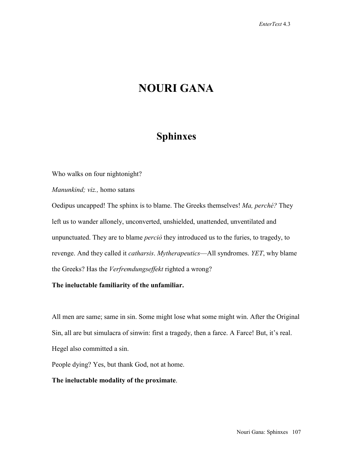# **NOURI GANA**

## **Sphinxes**

Who walks on four nightonight?

*Manunkind; viz.,* homo satans

Oedipus uncapped! The sphinx is to blame. The Greeks themselves! *Ma, perché?* They left us to wander allonely, unconverted, unshielded, unattended, unventilated and unpunctuated. They are to blame *perciò* they introduced us to the furies, to tragedy, to revenge. And they called it *catharsis*. *Mytherapeutics*—All syndromes. *YET*, why blame the Greeks? Has the *Verfremdungseffekt* righted a wrong?

**The ineluctable familiarity of the unfamiliar.** 

All men are same; same in sin. Some might lose what some might win. After the Original Sin, all are but simulacra of sinwin: first a tragedy, then a farce. A Farce! But, it's real. Hegel also committed a sin.

People dying? Yes, but thank God, not at home.

#### **The ineluctable modality of the proximate**.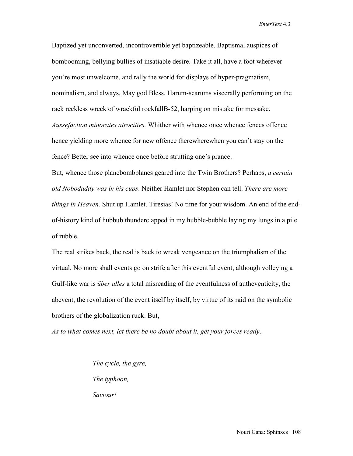*EnterText* 4.3

Baptized yet unconverted, incontrovertible yet baptizeable. Baptismal auspices of bombooming, bellying bullies of insatiable desire. Take it all, have a foot wherever you're most unwelcome, and rally the world for displays of hyper-pragmatism, nominalism, and always, May god Bless. Harum-scarums viscerally performing on the rack reckless wreck of wrackful rockfallB-52, harping on mistake for messake. *Aussefaction minorates atrocities.* Whither with whence once whence fences offence hence yielding more whence for new offence therewherewhen you can't stay on the fence? Better see into whence once before strutting one's prance.

But, whence those planebombplanes geared into the Twin Brothers? Perhaps, *a certain old Nobodaddy was in his cups*. Neither Hamlet nor Stephen can tell. *There are more things in Heaven.* Shut up Hamlet. Tiresias! No time for your wisdom. An end of the endof-history kind of hubbub thunderclapped in my hubble-bubble laying my lungs in a pile of rubble.

The real strikes back, the real is back to wreak vengeance on the triumphalism of the virtual. No more shall events go on strife after this eventful event, although volleying a Gulf-like war is *über alles* a total misreading of the eventfulness of autheventicity, the abevent, the revolution of the event itself by itself, by virtue of its raid on the symbolic brothers of the globalization ruck. But,

*As to what comes next, let there be no doubt about it, get your forces ready*.

*The cycle, the gyre, The typhoon, Saviour!*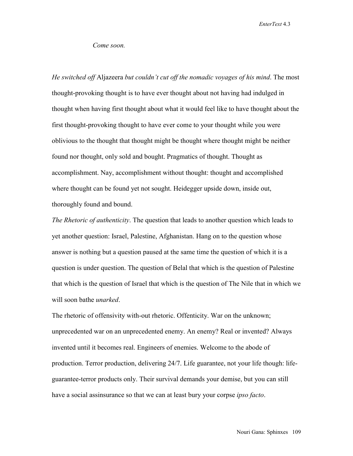*EnterText* 4.3

#### *Come soon.*

*He switched off* Aljazeera *but couldn't cut off the nomadic voyages of his mind*. The most thought-provoking thought is to have ever thought about not having had indulged in thought when having first thought about what it would feel like to have thought about the first thought-provoking thought to have ever come to your thought while you were oblivious to the thought that thought might be thought where thought might be neither found nor thought, only sold and bought. Pragmatics of thought. Thought as accomplishment. Nay, accomplishment without thought: thought and accomplished where thought can be found yet not sought. Heidegger upside down, inside out, thoroughly found and bound.

*The Rhetoric of authenticity*. The question that leads to another question which leads to yet another question: Israel, Palestine, Afghanistan. Hang on to the question whose answer is nothing but a question paused at the same time the question of which it is a question is under question. The question of Belal that which is the question of Palestine that which is the question of Israel that which is the question of The Nile that in which we will soon bathe *unarked*.

The rhetoric of offensivity with-out rhetoric. Offenticity. War on the unknown; unprecedented war on an unprecedented enemy. An enemy? Real or invented? Always invented until it becomes real. Engineers of enemies. Welcome to the abode of production. Terror production, delivering 24/7. Life guarantee, not your life though: lifeguarantee-terror products only. Their survival demands your demise, but you can still have a social assinsurance so that we can at least bury your corpse *ipso facto*.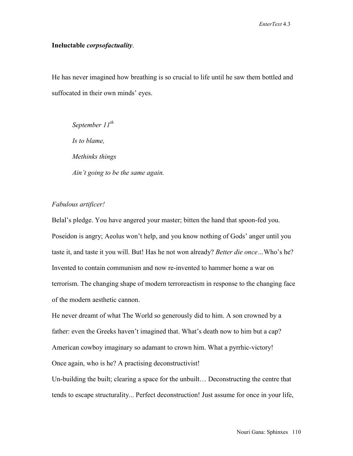#### **Ineluctable** *corpsofactuality*.

He has never imagined how breathing is so crucial to life until he saw them bottled and suffocated in their own minds' eyes.

*September 11th Is to blame, Methinks things Ain't going to be the same again.* 

#### *Fabulous artificer!*

Belal's pledge. You have angered your master; bitten the hand that spoon-fed you. Poseidon is angry; Aeolus won't help, and you know nothing of Gods' anger until you taste it, and taste it you will. But! Has he not won already? *Better die once…*Who's he? Invented to contain communism and now re-invented to hammer home a war on terrorism. The changing shape of modern terroreactism in response to the changing face of the modern aesthetic cannon.

He never dreamt of what The World so generously did to him. A son crowned by a father: even the Greeks haven't imagined that. What's death now to him but a cap? American cowboy imaginary so adamant to crown him. What a pyrrhic-victory! Once again, who is he? A practising deconstructivist!

Un-building the built; clearing a space for the unbuilt… Deconstructing the centre that tends to escape structurality... Perfect deconstruction! Just assume for once in your life,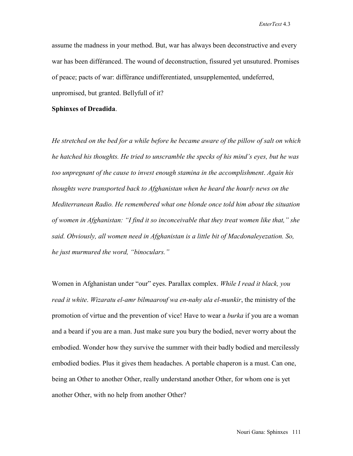assume the madness in your method. But, war has always been deconstructive and every war has been différanced. The wound of deconstruction, fissured yet unsutured. Promises of peace; pacts of war: différance undifferentiated, unsupplemented, undeferred, unpromised, but granted. Bellyfull of it?

#### **Sphinxes of Dreadida**.

*He stretched on the bed for a while before he became aware of the pillow of salt on which he hatched his thoughts. He tried to unscramble the specks of his mind's eyes, but he was too unpregnant of the cause to invest enough stamina in the accomplishment*. *Again his thoughts were transported back to Afghanistan when he heard the hourly news on the Mediterranean Radio. He remembered what one blonde once told him about the situation of women in Afghanistan: "I find it so inconceivable that they treat women like that," she said. Obviously, all women need in Afghanistan is a little bit of Macdonaleyezation. So, he just murmured the word, "binoculars."*

Women in Afghanistan under "our" eyes. Parallax complex. *While I read it black, you read it white*. *Wizaratu el-amr bilmaarouf wa en-nahy ala el-munkir*, the ministry of the promotion of virtue and the prevention of vice! Have to wear a *burka* if you are a woman and a beard if you are a man. Just make sure you bury the bodied, never worry about the embodied. Wonder how they survive the summer with their badly bodied and mercilessly embodied bodies. Plus it gives them headaches. A portable chaperon is a must. Can one, being an Other to another Other, really understand another Other, for whom one is yet another Other, with no help from another Other?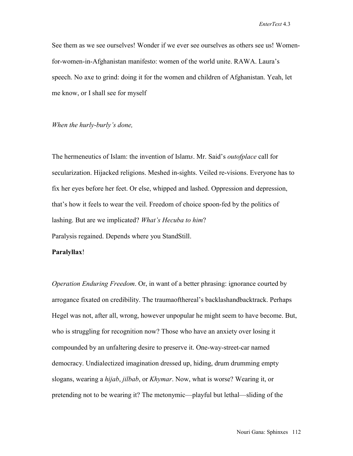See them as we see ourselves! Wonder if we ever see ourselves as others see us! Womenfor-women-in-Afghanistan manifesto: women of the world unite. RAWA. Laura's speech. No axe to grind: doing it for the women and children of Afghanistan. Yeah, let me know, or I shall see for myself

#### *When the hurly-burly's done,*

The hermeneutics of Islam: the invention of Islam*s*. Mr. Said's *outofplace* call for secularization. Hijacked religions. Meshed in-sights. Veiled re-visions. Everyone has to fix her eyes before her feet. Or else, whipped and lashed. Oppression and depression, that's how it feels to wear the veil. Freedom of choice spoon-fed by the politics of lashing. But are we implicated? *What's Hecuba to him*? Paralysis regained. Depends where you StandStill.

#### **Paralyllax**!

*Operation Enduring Freedom*. Or, in want of a better phrasing: ignorance courted by arrogance fixated on credibility. The traumaofthereal's backlashandbacktrack. Perhaps Hegel was not, after all, wrong, however unpopular he might seem to have become. But, who is struggling for recognition now? Those who have an anxiety over losing it compounded by an unfaltering desire to preserve it. One-way-street-car named democracy. Undialectized imagination dressed up, hiding, drum drumming empty slogans, wearing a *hijab*, *jilbab*, or *Khymar*. Now, what is worse? Wearing it, or pretending not to be wearing it? The metonymic—playful but lethal—sliding of the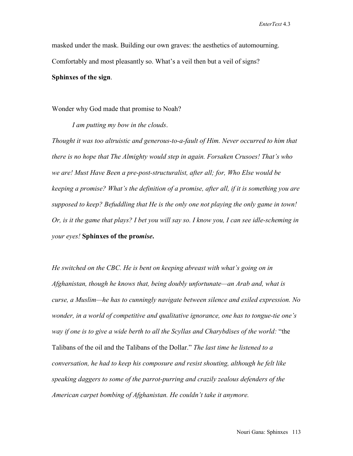masked under the mask. Building our own graves: the aesthetics of automourning. Comfortably and most pleasantly so. What's a veil then but a veil of signs?

#### **Sphinxes of the sign**.

Wonder why God made that promise to Noah?

*I am putting my bow in the clouds*.

*Thought it was too altruistic and generous-to-a-fault of Him. Never occurred to him that there is no hope that The Almighty would step in again. Forsaken Crusoes! That's who we are! Must Have Been a pre-post-structuralist, after all; for, Who Else would be keeping a promise? What's the definition of a promise, after all, if it is something you are supposed to keep? Befuddling that He is the only one not playing the only game in town! Or, is it the game that plays? I bet you will say so. I know you, I can see idle-scheming in your eyes!* **Sphinxes of the pro***mise***.**

*He switched on the CBC. He is bent on keeping abreast with what's going on in Afghanistan, though he knows that, being doubly unfortunate—an Arab and, what is curse, a Muslim—he has to cunningly navigate between silence and exiled expression. No wonder, in a world of competitive and qualitative ignorance, one has to tongue-tie one's way if one is to give a wide berth to all the Scyllas and Charybdises of the world:* "the Talibans of the oil and the Talibans of the Dollar." *The last time he listened to a conversation, he had to keep his composure and resist shouting, although he felt like speaking daggers to some of the parrot-purring and crazily zealous defenders of the American carpet bombing of Afghanistan. He couldn't take it anymore.*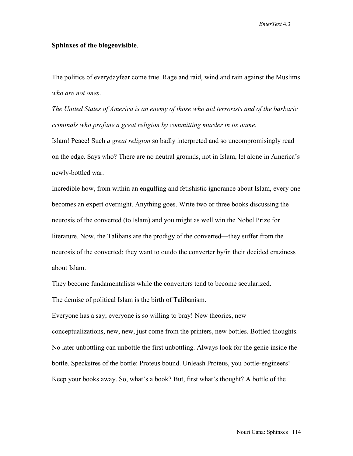*EnterText* 4.3

#### **Sphinxes of the biogeovisible**.

The politics of everydayfear come true. Rage and raid, wind and rain against the Muslims *who are not ones*.

*The United States of America is an enemy of those who aid terrorists and of the barbaric criminals who profane a great religion by committing murder in its name*.

Islam! Peace! Such *a great religion* so badly interpreted and so uncompromisingly read on the edge. Says who? There are no neutral grounds, not in Islam, let alone in America's newly-bottled war.

Incredible how, from within an engulfing and fetishistic ignorance about Islam, every one becomes an expert overnight. Anything goes. Write two or three books discussing the neurosis of the converted (to Islam) and you might as well win the Nobel Prize for literature. Now, the Talibans are the prodigy of the converted—they suffer from the neurosis of the converted; they want to outdo the converter by/in their decided craziness about Islam.

They become fundamentalists while the converters tend to become secularized. The demise of political Islam is the birth of Talibanism.

Everyone has a say; everyone is so willing to bray! New theories, new conceptualizations, new, new, just come from the printers, new bottles. Bottled thoughts. No later unbottling can unbottle the first unbottling. Always look for the genie inside the bottle. Speckstres of the bottle: Proteus bound. Unleash Proteus, you bottle-engineers! Keep your books away. So, what's a book? But, first what's thought? A bottle of the